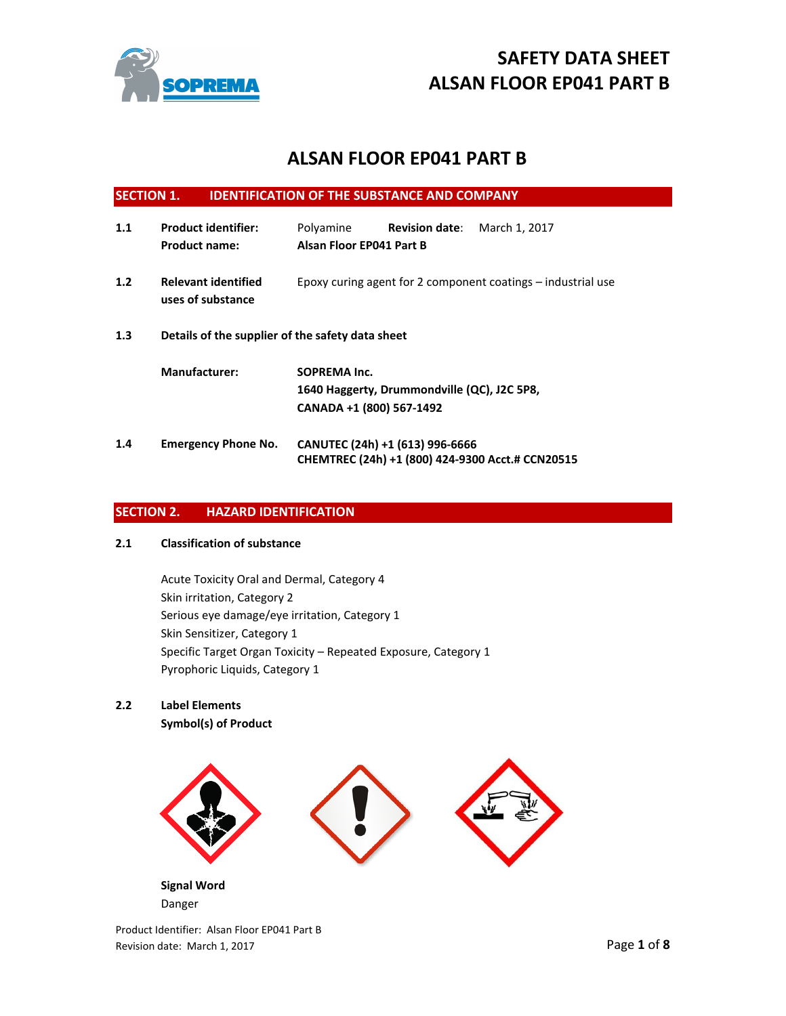

# **ALSAN FLOOR EP041 PART B**

| <b>SECTION 1.</b>                                       |                                                    | <b>IDENTIFICATION OF THE SUBSTANCE AND COMPANY</b>                                             |  |  |
|---------------------------------------------------------|----------------------------------------------------|------------------------------------------------------------------------------------------------|--|--|
| 1.1                                                     | <b>Product identifier:</b><br><b>Product name:</b> | Polyamine<br><b>Revision date:</b><br>March 1, 2017<br>Alsan Floor EP041 Part B                |  |  |
| 1.2                                                     | <b>Relevant identified</b><br>uses of substance    | Epoxy curing agent for 2 component coatings – industrial use                                   |  |  |
| 1.3<br>Details of the supplier of the safety data sheet |                                                    |                                                                                                |  |  |
|                                                         | <b>Manufacturer:</b>                               | <b>SOPREMA Inc.</b><br>1640 Haggerty, Drummondville (QC), J2C 5P8,<br>CANADA +1 (800) 567-1492 |  |  |
| 1.4                                                     | <b>Emergency Phone No.</b>                         | CANUTEC (24h) +1 (613) 996-6666<br>CHEMTREC (24h) +1 (800) 424-9300 Acct.# CCN20515            |  |  |

# **SECTION 2. HAZARD IDENTIFICATION**

# **2.1 Classification of substance**

Acute Toxicity Oral and Dermal, Category 4 Skin irritation, Category 2 Serious eye damage/eye irritation, Category 1 Skin Sensitizer, Category 1 Specific Target Organ Toxicity – Repeated Exposure, Category 1 Pyrophoric Liquids, Category 1

# **2.2 Label Elements**

**Symbol(s) of Product** 

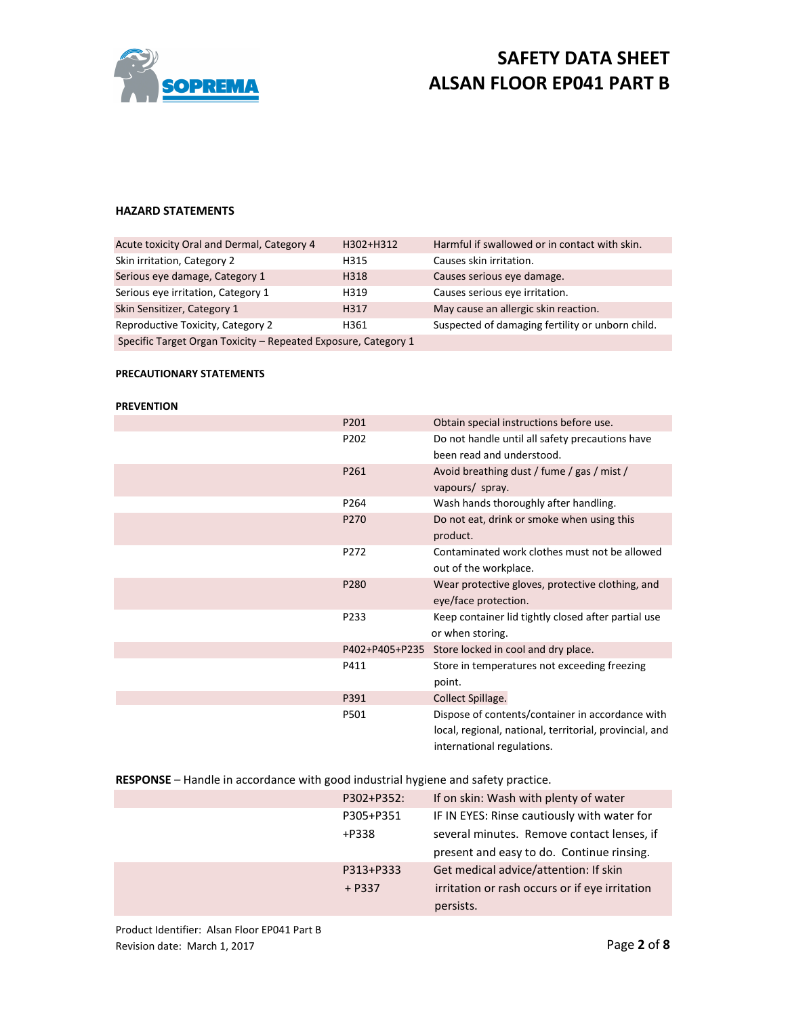

### **HAZARD STATEMENTS**

| Acute toxicity Oral and Dermal, Category 4                     | H302+H312 | Harmful if swallowed or in contact with skin.    |
|----------------------------------------------------------------|-----------|--------------------------------------------------|
| Skin irritation, Category 2                                    | H315      | Causes skin irritation.                          |
| Serious eye damage, Category 1                                 | H318      | Causes serious eye damage.                       |
| Serious eye irritation, Category 1                             | H319      | Causes serious eye irritation.                   |
| Skin Sensitizer, Category 1                                    | H317      | May cause an allergic skin reaction.             |
| Reproductive Toxicity, Category 2                              | H361      | Suspected of damaging fertility or unborn child. |
| Specific Target Organ Toxicity - Repeated Exposure, Category 1 |           |                                                  |

# **PRECAUTIONARY STATEMENTS**

#### **PREVENTION**

| P201             | Obtain special instructions before use.                                                                                                   |
|------------------|-------------------------------------------------------------------------------------------------------------------------------------------|
| P202             | Do not handle until all safety precautions have<br>been read and understood.                                                              |
| P261             | Avoid breathing dust / fume / gas / mist /<br>vapours/ spray.                                                                             |
| P <sub>264</sub> | Wash hands thoroughly after handling.                                                                                                     |
| P270             | Do not eat, drink or smoke when using this<br>product.                                                                                    |
| P272             | Contaminated work clothes must not be allowed<br>out of the workplace.                                                                    |
| P280             | Wear protective gloves, protective clothing, and<br>eye/face protection.                                                                  |
| P233             | Keep container lid tightly closed after partial use<br>or when storing.                                                                   |
| P402+P405+P235   | Store locked in cool and dry place.                                                                                                       |
| P411             | Store in temperatures not exceeding freezing<br>point.                                                                                    |
| P391             | Collect Spillage.                                                                                                                         |
| P501             | Dispose of contents/container in accordance with<br>local, regional, national, territorial, provincial, and<br>international regulations. |

**RESPONSE** – Handle in accordance with good industrial hygiene and safety practice.

| P302+P352: | If on skin: Wash with plenty of water          |
|------------|------------------------------------------------|
| P305+P351  | IF IN EYES: Rinse cautiously with water for    |
| +P338      | several minutes. Remove contact lenses, if     |
|            | present and easy to do. Continue rinsing.      |
| P313+P333  | Get medical advice/attention: If skin          |
| $+$ P337   | irritation or rash occurs or if eye irritation |
|            | persists.                                      |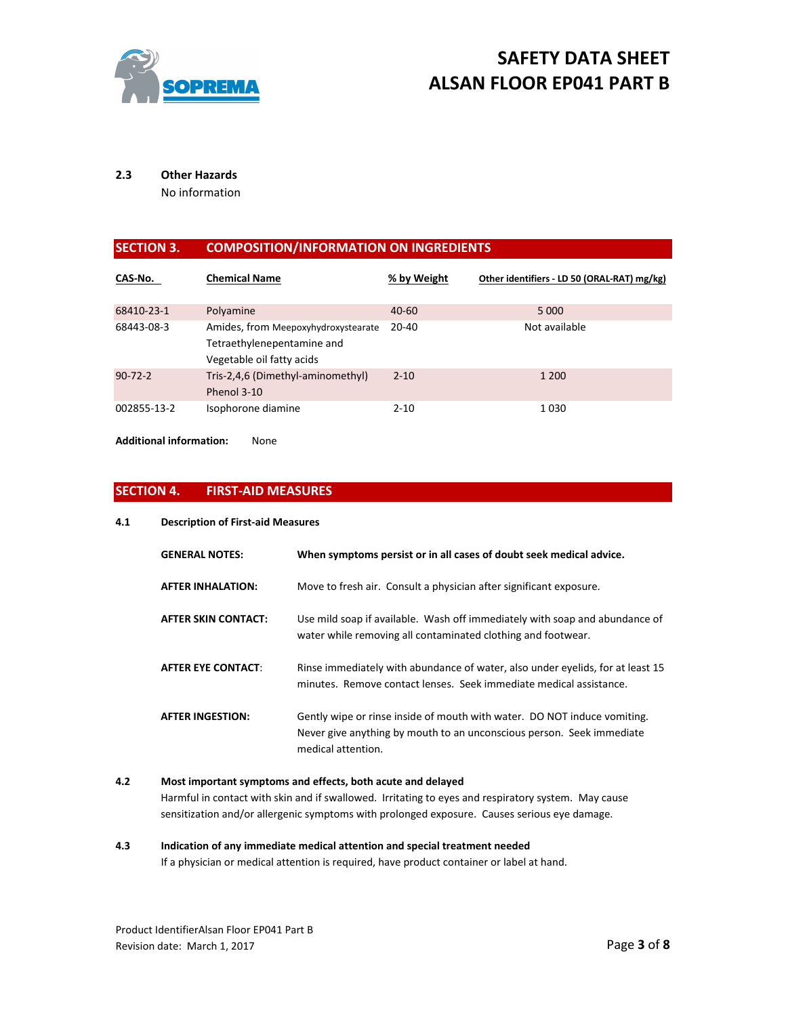

# **2.3 Other Hazards**

No information

# **SECTION 3. COMPOSITION/INFORMATION ON INGREDIENTS**

| CAS-No.       | <b>Chemical Name</b>                                                                           | % by Weight | Other identifiers - LD 50 (ORAL-RAT) mg/kg) |
|---------------|------------------------------------------------------------------------------------------------|-------------|---------------------------------------------|
| 68410-23-1    | Polyamine                                                                                      | $40 - 60$   | 5 0 0 0                                     |
| 68443-08-3    | Amides, from Meepoxyhydroxystearate<br>Tetraethylenepentamine and<br>Vegetable oil fatty acids | $20 - 40$   | Not available                               |
| $90 - 72 - 2$ | Tris-2,4,6 (Dimethyl-aminomethyl)<br>Phenol 3-10                                               | $2 - 10$    | 1 200                                       |
| 002855-13-2   | Isophorone diamine                                                                             | $2 - 10$    | 1030                                        |

**Additional information:** None

# **SECTION 4. FIRST-AID MEASURES**

#### **4.1 Description of First-aid Measures**

| <b>GENERAL NOTES:</b>     | When symptoms persist or in all cases of doubt seek medical advice.                                                                                                     |
|---------------------------|-------------------------------------------------------------------------------------------------------------------------------------------------------------------------|
| <b>AFTER INHALATION:</b>  | Move to fresh air. Consult a physician after significant exposure.                                                                                                      |
| AFTER SKIN CONTACT:       | Use mild soap if available. Wash off immediately with soap and abundance of<br>water while removing all contaminated clothing and footwear.                             |
| <b>AFTER EYE CONTACT:</b> | Rinse immediately with abundance of water, also under eyelids, for at least 15<br>minutes. Remove contact lenses. Seek immediate medical assistance.                    |
| <b>AFTER INGESTION:</b>   | Gently wipe or rinse inside of mouth with water. DO NOT induce vomiting.<br>Never give anything by mouth to an unconscious person. Seek immediate<br>medical attention. |

# **4.2 Most important symptoms and effects, both acute and delayed**

Harmful in contact with skin and if swallowed. Irritating to eyes and respiratory system. May cause sensitization and/or allergenic symptoms with prolonged exposure. Causes serious eye damage.

# **4.3 Indication of any immediate medical attention and special treatment needed**

If a physician or medical attention is required, have product container or label at hand.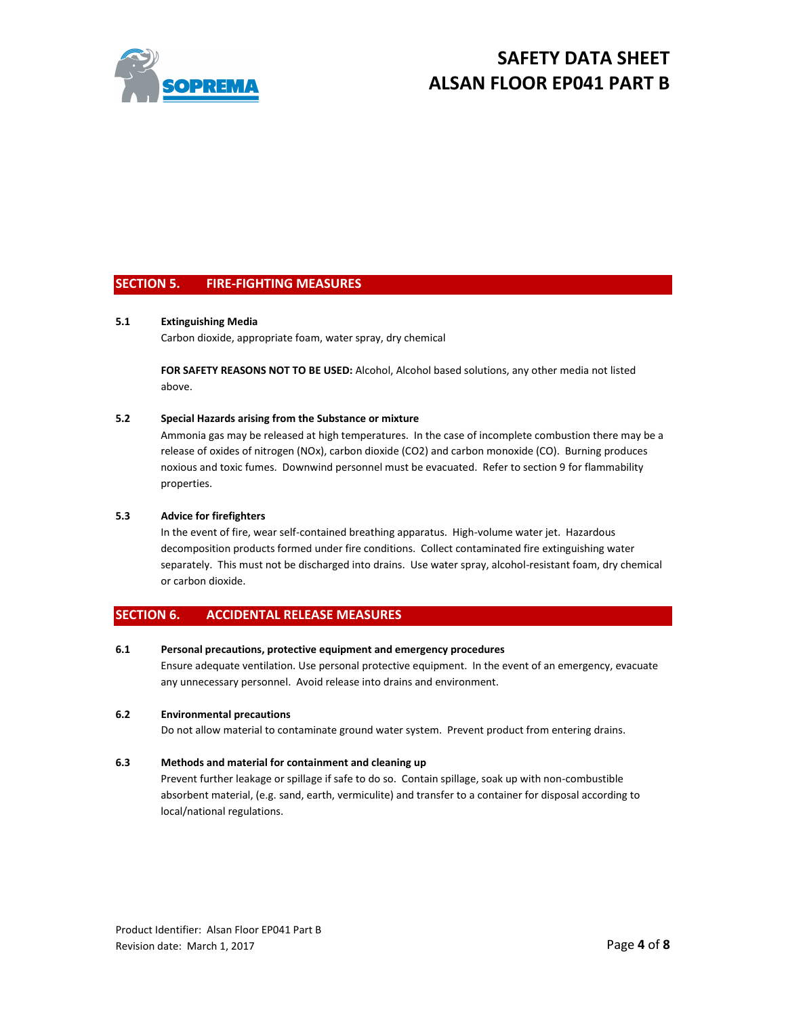

# **SECTION 5. FIRE-FIGHTING MEASURES**

#### **5.1 Extinguishing Media**

Carbon dioxide, appropriate foam, water spray, dry chemical

**FOR SAFETY REASONS NOT TO BE USED:** Alcohol, Alcohol based solutions, any other media not listed above.

#### **5.2 Special Hazards arising from the Substance or mixture**

Ammonia gas may be released at high temperatures. In the case of incomplete combustion there may be a release of oxides of nitrogen (NOx), carbon dioxide (CO2) and carbon monoxide (CO). Burning produces noxious and toxic fumes. Downwind personnel must be evacuated. Refer to section 9 for flammability properties.

#### **5.3 Advice for firefighters**

In the event of fire, wear self-contained breathing apparatus. High-volume water jet. Hazardous decomposition products formed under fire conditions. Collect contaminated fire extinguishing water separately. This must not be discharged into drains. Use water spray, alcohol-resistant foam, dry chemical or carbon dioxide.

## **SECTION 6. ACCIDENTAL RELEASE MEASURES**

#### **6.1 Personal precautions, protective equipment and emergency procedures**

Ensure adequate ventilation. Use personal protective equipment. In the event of an emergency, evacuate any unnecessary personnel. Avoid release into drains and environment.

#### **6.2 Environmental precautions**

Do not allow material to contaminate ground water system. Prevent product from entering drains.

#### **6.3 Methods and material for containment and cleaning up**

Prevent further leakage or spillage if safe to do so. Contain spillage, soak up with non-combustible absorbent material, (e.g. sand, earth, vermiculite) and transfer to a container for disposal according to local/national regulations.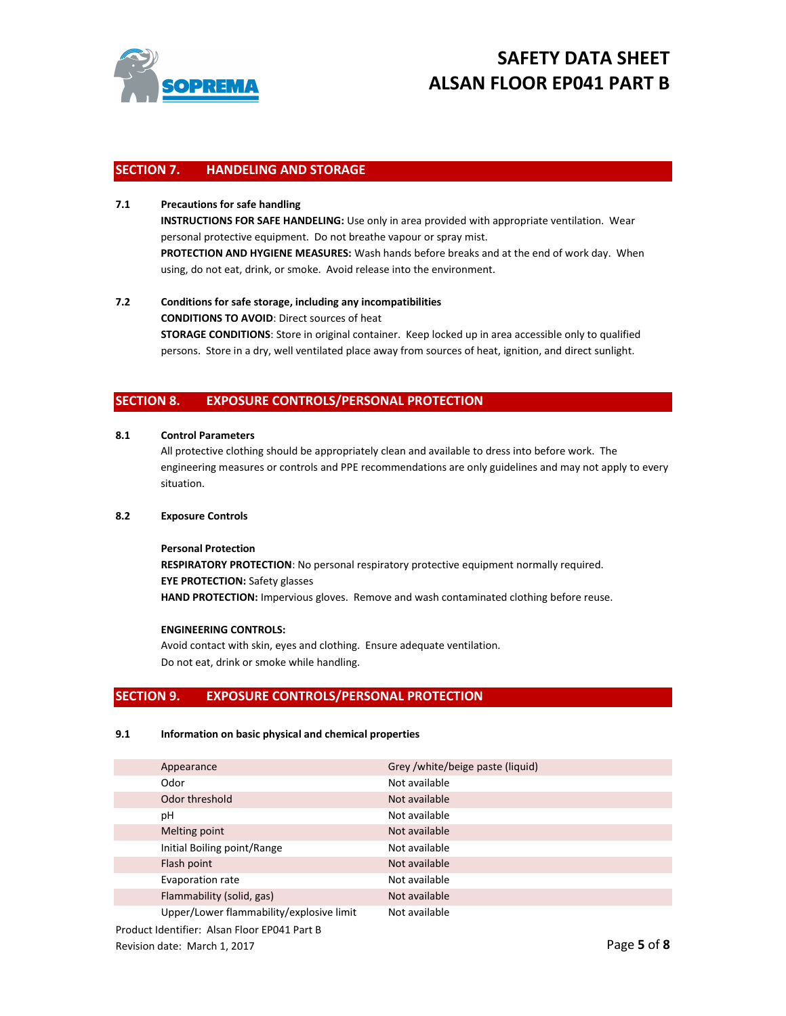

## **SECTION 7. HANDELING AND STORAGE**

### **7.1 Precautions for safe handling**

**INSTRUCTIONS FOR SAFE HANDELING:** Use only in area provided with appropriate ventilation. Wear personal protective equipment. Do not breathe vapour or spray mist. **PROTECTION AND HYGIENE MEASURES:** Wash hands before breaks and at the end of work day. When using, do not eat, drink, or smoke. Avoid release into the environment.

# **7.2 Conditions for safe storage, including any incompatibilities CONDITIONS TO AVOID**: Direct sources of heat **STORAGE CONDITIONS**: Store in original container. Keep locked up in area accessible only to qualified persons. Store in a dry, well ventilated place away from sources of heat, ignition, and direct sunlight.

### **SECTION 8. EXPOSURE CONTROLS/PERSONAL PROTECTION**

#### **8.1 Control Parameters**

All protective clothing should be appropriately clean and available to dress into before work. The engineering measures or controls and PPE recommendations are only guidelines and may not apply to every situation.

#### **8.2 Exposure Controls**

#### **Personal Protection**

**RESPIRATORY PROTECTION**: No personal respiratory protective equipment normally required. **EYE PROTECTION:** Safety glasses **HAND PROTECTION:** Impervious gloves. Remove and wash contaminated clothing before reuse.

#### **ENGINEERING CONTROLS:**

Avoid contact with skin, eyes and clothing. Ensure adequate ventilation. Do not eat, drink or smoke while handling.

#### **SECTION 9. EXPOSURE CONTROLS/PERSONAL PROTECTION**

#### **9.1 Information on basic physical and chemical properties**

| Appearance                               | Grey /white/beige paste (liquid) |
|------------------------------------------|----------------------------------|
| Odor                                     | Not available                    |
| Odor threshold                           | Not available                    |
| рH                                       | Not available                    |
| Melting point                            | Not available                    |
| Initial Boiling point/Range              | Not available                    |
| Flash point                              | Not available                    |
| Evaporation rate                         | Not available                    |
| Flammability (solid, gas)                | Not available                    |
| Upper/Lower flammability/explosive limit | Not available                    |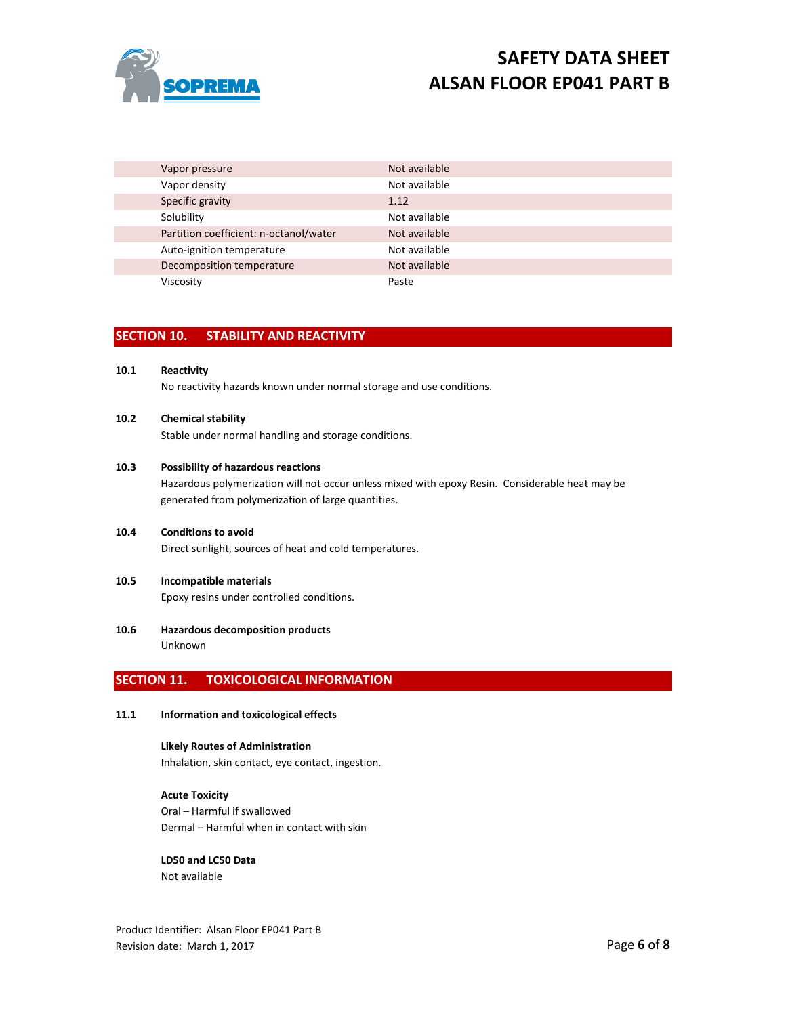

| Vapor pressure                         | Not available |
|----------------------------------------|---------------|
| Vapor density                          | Not available |
| Specific gravity                       | 1.12          |
| Solubility                             | Not available |
| Partition coefficient: n-octanol/water | Not available |
| Auto-ignition temperature              | Not available |
| Decomposition temperature              | Not available |
| Viscosity                              | Paste         |
|                                        |               |

## **SECTION 10. STABILITY AND REACTIVITY**

**10.1 Reactivity** 

No reactivity hazards known under normal storage and use conditions.

### **10.2 Chemical stability**

Stable under normal handling and storage conditions.

#### **10.3 Possibility of hazardous reactions**

Hazardous polymerization will not occur unless mixed with epoxy Resin. Considerable heat may be generated from polymerization of large quantities.

# **10.4 Conditions to avoid**

Direct sunlight, sources of heat and cold temperatures.

#### **10.5 Incompatible materials**

Epoxy resins under controlled conditions.

#### **10.6 Hazardous decomposition products**  Unknown

## **SECTION 11. TOXICOLOGICAL INFORMATION**

#### **11.1 Information and toxicological effects**

**Likely Routes of Administration**  Inhalation, skin contact, eye contact, ingestion.

**Acute Toxicity**  Oral – Harmful if swallowed Dermal – Harmful when in contact with skin

# **LD50 and LC50 Data**

Not available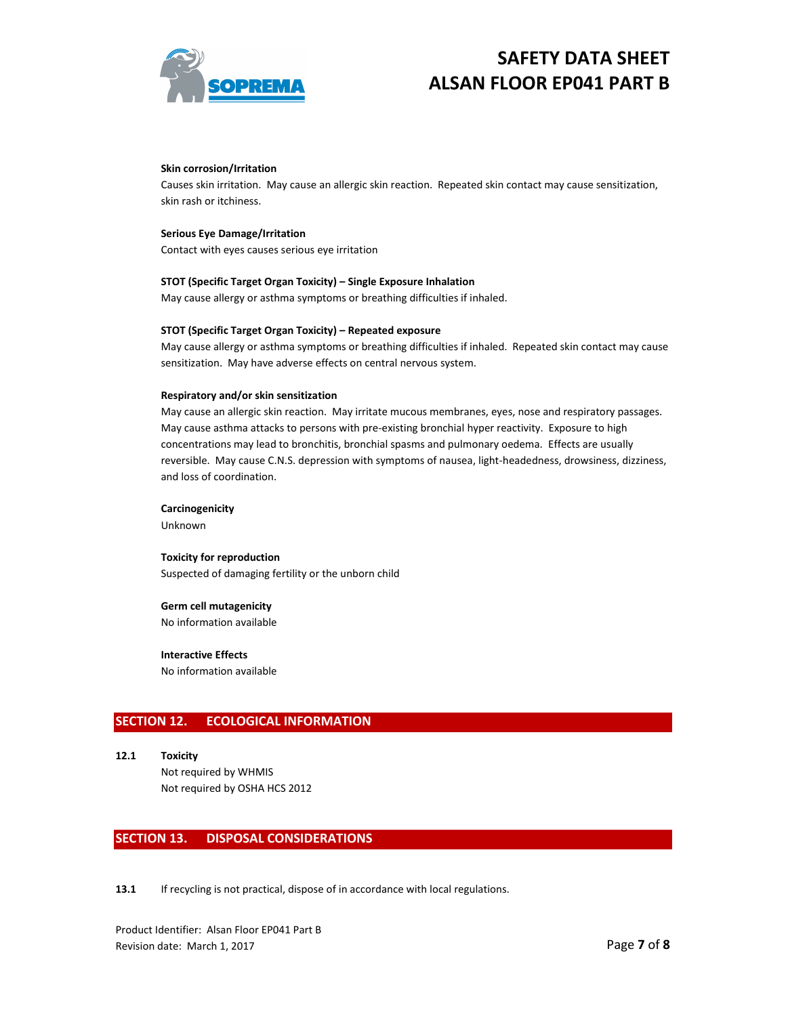

#### **Skin corrosion/Irritation**

Causes skin irritation. May cause an allergic skin reaction. Repeated skin contact may cause sensitization, skin rash or itchiness.

#### **Serious Eye Damage/Irritation**

Contact with eyes causes serious eye irritation

#### **STOT (Specific Target Organ Toxicity) – Single Exposure Inhalation**

May cause allergy or asthma symptoms or breathing difficulties if inhaled.

#### **STOT (Specific Target Organ Toxicity) – Repeated exposure**

May cause allergy or asthma symptoms or breathing difficulties if inhaled. Repeated skin contact may cause sensitization. May have adverse effects on central nervous system.

#### **Respiratory and/or skin sensitization**

May cause an allergic skin reaction. May irritate mucous membranes, eyes, nose and respiratory passages. May cause asthma attacks to persons with pre-existing bronchial hyper reactivity. Exposure to high concentrations may lead to bronchitis, bronchial spasms and pulmonary oedema. Effects are usually reversible. May cause C.N.S. depression with symptoms of nausea, light-headedness, drowsiness, dizziness, and loss of coordination.

#### **Carcinogenicity**

Unknown

### **Toxicity for reproduction**  Suspected of damaging fertility or the unborn child

#### **Germ cell mutagenicity**

No information available

### **Interactive Effects**

No information available

## **SECTION 12. ECOLOGICAL INFORMATION**

**12.1 Toxicity**  Not required by WHMIS Not required by OSHA HCS 2012

### **SECTION 13. DISPOSAL CONSIDERATIONS**

13.1 If recycling is not practical, dispose of in accordance with local regulations.

Product Identifier: Alsan Floor EP041 Part B Revision date: March 1, 2017 **Page 7** of **8**